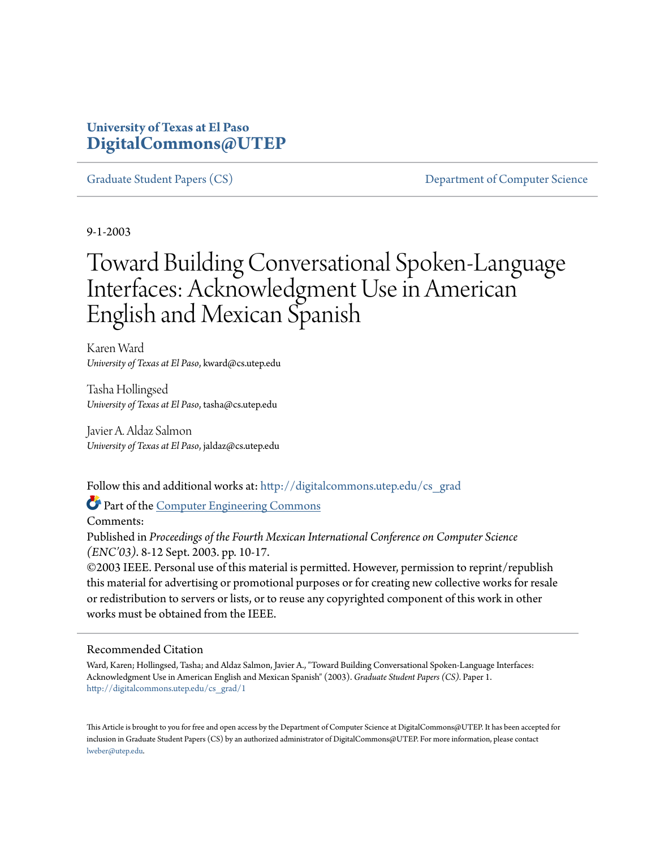# **University of Texas at El Paso [DigitalCommons@UTEP](http://digitalcommons.utep.edu?utm_source=digitalcommons.utep.edu%2Fcs_grad%2F1&utm_medium=PDF&utm_campaign=PDFCoverPages)**

[Graduate Student Papers \(CS\)](http://digitalcommons.utep.edu/cs_grad?utm_source=digitalcommons.utep.edu%2Fcs_grad%2F1&utm_medium=PDF&utm_campaign=PDFCoverPages) [Department of Computer Science](http://digitalcommons.utep.edu/computer?utm_source=digitalcommons.utep.edu%2Fcs_grad%2F1&utm_medium=PDF&utm_campaign=PDFCoverPages)

9-1-2003

# Toward Building Conversational Spoken-Language Interfaces: Acknowledgment Use in American English and Mexican Spanish

Karen Ward *University of Texas at El Paso*, kward@cs.utep.edu

Tasha Hollingsed *University of Texas at El Paso*, tasha@cs.utep.edu

Javier A. Aldaz Salmon *University of Texas at El Paso*, jaldaz@cs.utep.edu

Follow this and additional works at: [http://digitalcommons.utep.edu/cs\\_grad](http://digitalcommons.utep.edu/cs_grad?utm_source=digitalcommons.utep.edu%2Fcs_grad%2F1&utm_medium=PDF&utm_campaign=PDFCoverPages)

Part of the [Computer Engineering Commons](http://network.bepress.com/hgg/discipline/258?utm_source=digitalcommons.utep.edu%2Fcs_grad%2F1&utm_medium=PDF&utm_campaign=PDFCoverPages)

Comments:

Published in *Proceedings of the Fourth Mexican International Conference on Computer Science (ENC'03)*. 8-12 Sept. 2003. pp. 10-17.

©2003 IEEE. Personal use of this material is permitted. However, permission to reprint/republish this material for advertising or promotional purposes or for creating new collective works for resale or redistribution to servers or lists, or to reuse any copyrighted component of this work in other works must be obtained from the IEEE.

#### Recommended Citation

Ward, Karen; Hollingsed, Tasha; and Aldaz Salmon, Javier A., "Toward Building Conversational Spoken-Language Interfaces: Acknowledgment Use in American English and Mexican Spanish" (2003). *Graduate Student Papers (CS).* Paper 1. [http://digitalcommons.utep.edu/cs\\_grad/1](http://digitalcommons.utep.edu/cs_grad/1?utm_source=digitalcommons.utep.edu%2Fcs_grad%2F1&utm_medium=PDF&utm_campaign=PDFCoverPages)

This Article is brought to you for free and open access by the Department of Computer Science at DigitalCommons@UTEP. It has been accepted for inclusion in Graduate Student Papers (CS) by an authorized administrator of DigitalCommons@UTEP. For more information, please contact [lweber@utep.edu](mailto:lweber@utep.edu).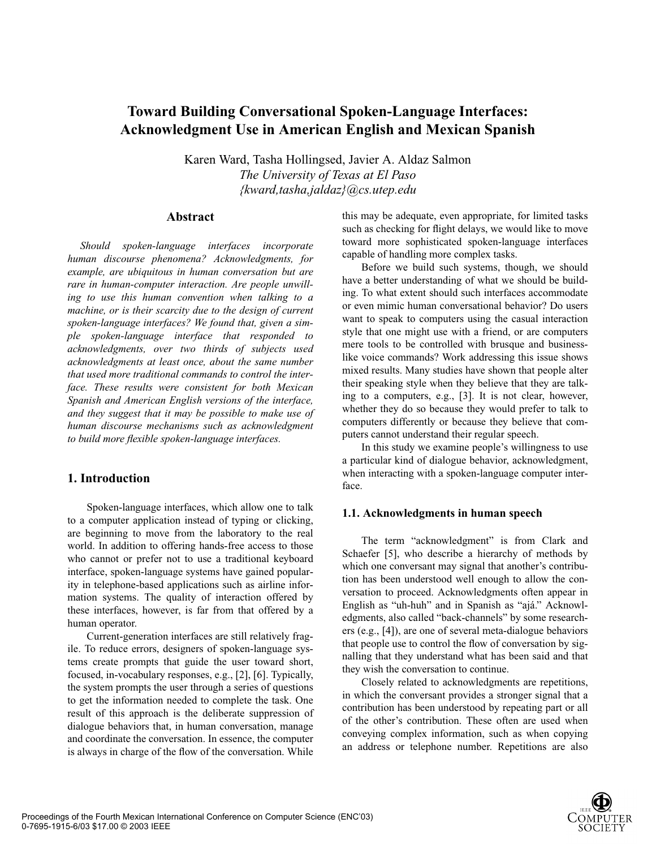# **Toward Building Conversational Spoken-Language Interfaces: Acknowledgment Use in American English and Mexican Spanish**

Karen Ward, Tasha Hollingsed, Javier A. Aldaz Salmon *The University of Texas at El Paso {kward,tasha,jaldaz}@cs.utep.edu*

#### **Abstract**

*Should spoken-language interfaces incorporate human discourse phenomena? Acknowledgments, for example, are ubiquitous in human conversation but are rare in human-computer interaction. Are people unwilling to use this human convention when talking to a machine, or is their scarcity due to the design of current spoken-language interfaces? We found that, given a simple spoken-language interface that responded to acknowledgments, over two thirds of subjects used acknowledgments at least once, about the same number that used more traditional commands to control the interface. These results were consistent for both Mexican Spanish and American English versions of the interface, and they suggest that it may be possible to make use of human discourse mechanisms such as acknowledgment to build more flexible spoken-language interfaces.*

# **1. Introduction**

Spoken-language interfaces, which allow one to talk to a computer application instead of typing or clicking, are beginning to move from the laboratory to the real world. In addition to offering hands-free access to those who cannot or prefer not to use a traditional keyboard interface, spoken-language systems have gained popularity in telephone-based applications such as airline information systems. The quality of interaction offered by these interfaces, however, is far from that offered by a human operator.

Current-generation interfaces are still relatively fragile. To reduce errors, designers of spoken-language systems create prompts that guide the user toward short, focused, in-vocabulary responses, e.g., [2], [6]. Typically, the system prompts the user through a series of questions to get the information needed to complete the task. One result of this approach is the deliberate suppression of dialogue behaviors that, in human conversation, manage and coordinate the conversation. In essence, the computer is always in charge of the flow of the conversation. While this may be adequate, even appropriate, for limited tasks such as checking for flight delays, we would like to move toward more sophisticated spoken-language interfaces capable of handling more complex tasks.

Before we build such systems, though, we should have a better understanding of what we should be building. To what extent should such interfaces accommodate or even mimic human conversational behavior? Do users want to speak to computers using the casual interaction style that one might use with a friend, or are computers mere tools to be controlled with brusque and businesslike voice commands? Work addressing this issue shows mixed results. Many studies have shown that people alter their speaking style when they believe that they are talking to a computers, e.g., [3]. It is not clear, however, whether they do so because they would prefer to talk to computers differently or because they believe that computers cannot understand their regular speech.

In this study we examine people's willingness to use a particular kind of dialogue behavior, acknowledgment, when interacting with a spoken-language computer interface.

#### **1.1. Acknowledgments in human speech**

The term "acknowledgment" is from Clark and Schaefer [5], who describe a hierarchy of methods by which one conversant may signal that another's contribution has been understood well enough to allow the conversation to proceed. Acknowledgments often appear in English as "uh-huh" and in Spanish as "ajá." Acknowledgments, also called "back-channels" by some researchers (e.g., [4]), are one of several meta-dialogue behaviors that people use to control the flow of conversation by signalling that they understand what has been said and that they wish the conversation to continue.

Closely related to acknowledgments are repetitions, in which the conversant provides a stronger signal that a contribution has been understood by repeating part or all of the other's contribution. These often are used when conveying complex information, such as when copying an address or telephone number. Repetitions are also

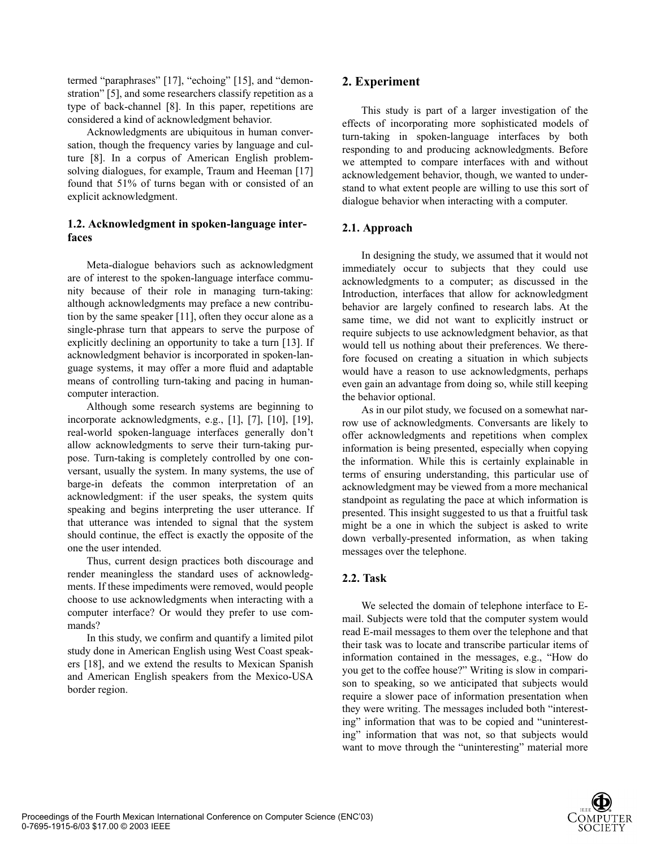termed "paraphrases" [17], "echoing" [15], and "demonstration" [5], and some researchers classify repetition as a type of back-channel [8]. In this paper, repetitions are considered a kind of acknowledgment behavior.

Acknowledgments are ubiquitous in human conversation, though the frequency varies by language and culture [8]. In a corpus of American English problemsolving dialogues, for example, Traum and Heeman [17] found that 51% of turns began with or consisted of an explicit acknowledgment.

#### **1.2. Acknowledgment in spoken-language interfaces**

Meta-dialogue behaviors such as acknowledgment are of interest to the spoken-language interface community because of their role in managing turn-taking: although acknowledgments may preface a new contribution by the same speaker [11], often they occur alone as a single-phrase turn that appears to serve the purpose of explicitly declining an opportunity to take a turn [13]. If acknowledgment behavior is incorporated in spoken-language systems, it may offer a more fluid and adaptable means of controlling turn-taking and pacing in humancomputer interaction.

Although some research systems are beginning to incorporate acknowledgments, e.g., [1], [7], [10], [19], real-world spoken-language interfaces generally don't allow acknowledgments to serve their turn-taking purpose. Turn-taking is completely controlled by one conversant, usually the system. In many systems, the use of barge-in defeats the common interpretation of an acknowledgment: if the user speaks, the system quits speaking and begins interpreting the user utterance. If that utterance was intended to signal that the system should continue, the effect is exactly the opposite of the one the user intended.

Thus, current design practices both discourage and render meaningless the standard uses of acknowledgments. If these impediments were removed, would people choose to use acknowledgments when interacting with a computer interface? Or would they prefer to use commands?

In this study, we confirm and quantify a limited pilot study done in American English using West Coast speakers [18], and we extend the results to Mexican Spanish and American English speakers from the Mexico-USA border region.

# **2. Experiment**

This study is part of a larger investigation of the effects of incorporating more sophisticated models of turn-taking in spoken-language interfaces by both responding to and producing acknowledgments. Before we attempted to compare interfaces with and without acknowledgement behavior, though, we wanted to understand to what extent people are willing to use this sort of dialogue behavior when interacting with a computer.

# **2.1. Approach**

In designing the study, we assumed that it would not immediately occur to subjects that they could use acknowledgments to a computer; as discussed in the Introduction, interfaces that allow for acknowledgment behavior are largely confined to research labs. At the same time, we did not want to explicitly instruct or require subjects to use acknowledgment behavior, as that would tell us nothing about their preferences. We therefore focused on creating a situation in which subjects would have a reason to use acknowledgments, perhaps even gain an advantage from doing so, while still keeping the behavior optional.

As in our pilot study, we focused on a somewhat narrow use of acknowledgments. Conversants are likely to offer acknowledgments and repetitions when complex information is being presented, especially when copying the information. While this is certainly explainable in terms of ensuring understanding, this particular use of acknowledgment may be viewed from a more mechanical standpoint as regulating the pace at which information is presented. This insight suggested to us that a fruitful task might be a one in which the subject is asked to write down verbally-presented information, as when taking messages over the telephone.

# **2.2. Task**

We selected the domain of telephone interface to Email. Subjects were told that the computer system would read E-mail messages to them over the telephone and that their task was to locate and transcribe particular items of information contained in the messages, e.g., "How do you get to the coffee house?" Writing is slow in comparison to speaking, so we anticipated that subjects would require a slower pace of information presentation when they were writing. The messages included both "interesting" information that was to be copied and "uninteresting" information that was not, so that subjects would want to move through the "uninteresting" material more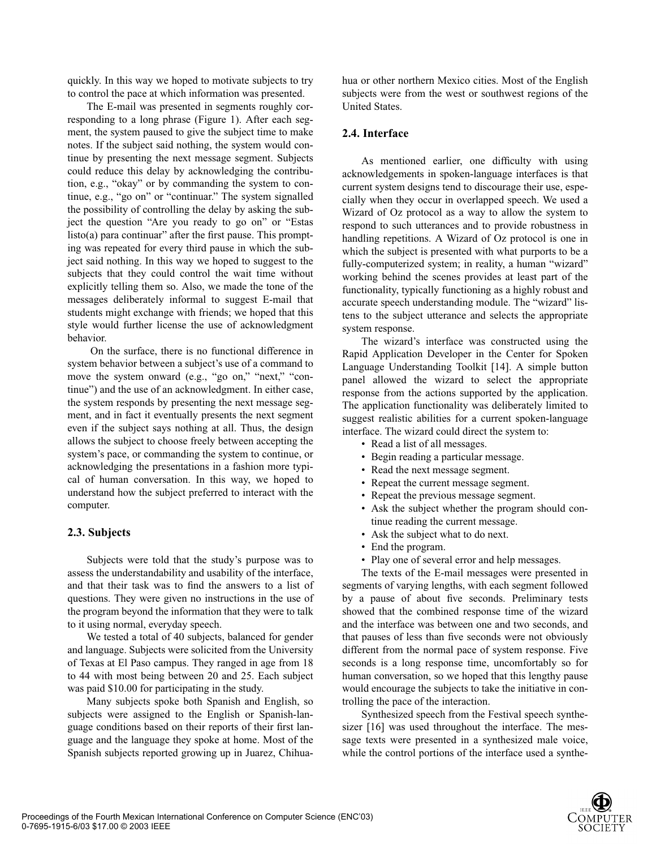quickly. In this way we hoped to motivate subjects to try to control the pace at which information was presented.

The E-mail was presented in segments roughly corresponding to a long phrase (Figure 1). After each segment, the system paused to give the subject time to make notes. If the subject said nothing, the system would continue by presenting the next message segment. Subjects could reduce this delay by acknowledging the contribution, e.g., "okay" or by commanding the system to continue, e.g., "go on" or "continuar." The system signalled the possibility of controlling the delay by asking the subject the question "Are you ready to go on" or "Estas  $listo(a)$  para continuar" after the first pause. This prompting was repeated for every third pause in which the subject said nothing. In this way we hoped to suggest to the subjects that they could control the wait time without explicitly telling them so. Also, we made the tone of the messages deliberately informal to suggest E-mail that students might exchange with friends; we hoped that this style would further license the use of acknowledgment behavior.

On the surface, there is no functional difference in system behavior between a subject's use of a command to move the system onward (e.g., "go on," "next," "continue") and the use of an acknowledgment. In either case, the system responds by presenting the next message segment, and in fact it eventually presents the next segment even if the subject says nothing at all. Thus, the design allows the subject to choose freely between accepting the system's pace, or commanding the system to continue, or acknowledging the presentations in a fashion more typical of human conversation. In this way, we hoped to understand how the subject preferred to interact with the computer.

#### **2.3. Subjects**

Subjects were told that the study's purpose was to assess the understandability and usability of the interface, and that their task was to find the answers to a list of questions. They were given no instructions in the use of the program beyond the information that they were to talk to it using normal, everyday speech.

We tested a total of 40 subjects, balanced for gender and language. Subjects were solicited from the University of Texas at El Paso campus. They ranged in age from 18 to 44 with most being between 20 and 25. Each subject was paid \$10.00 for participating in the study.

Many subjects spoke both Spanish and English, so subjects were assigned to the English or Spanish-language conditions based on their reports of their first language and the language they spoke at home. Most of the Spanish subjects reported growing up in Juarez, Chihuahua or other northern Mexico cities. Most of the English subjects were from the west or southwest regions of the United States.

#### **2.4. Interface**

As mentioned earlier, one difficulty with using acknowledgements in spoken-language interfaces is that current system designs tend to discourage their use, especially when they occur in overlapped speech. We used a Wizard of Oz protocol as a way to allow the system to respond to such utterances and to provide robustness in handling repetitions. A Wizard of Oz protocol is one in which the subject is presented with what purports to be a fully-computerized system; in reality, a human "wizard" working behind the scenes provides at least part of the functionality, typically functioning as a highly robust and accurate speech understanding module. The "wizard" listens to the subject utterance and selects the appropriate system response.

The wizard's interface was constructed using the Rapid Application Developer in the Center for Spoken Language Understanding Toolkit [14]. A simple button panel allowed the wizard to select the appropriate response from the actions supported by the application. The application functionality was deliberately limited to suggest realistic abilities for a current spoken-language interface. The wizard could direct the system to:

- Read a list of all messages.
- Begin reading a particular message.
- Read the next message segment.
- Repeat the current message segment.
- Repeat the previous message segment.
- Ask the subject whether the program should continue reading the current message.
- Ask the subject what to do next.
- End the program.
- Play one of several error and help messages.

The texts of the E-mail messages were presented in segments of varying lengths, with each segment followed by a pause of about five seconds. Preliminary tests showed that the combined response time of the wizard and the interface was between one and two seconds, and that pauses of less than five seconds were not obviously different from the normal pace of system response. Five seconds is a long response time, uncomfortably so for human conversation, so we hoped that this lengthy pause would encourage the subjects to take the initiative in controlling the pace of the interaction.

Synthesized speech from the Festival speech synthesizer [16] was used throughout the interface. The message texts were presented in a synthesized male voice, while the control portions of the interface used a synthe-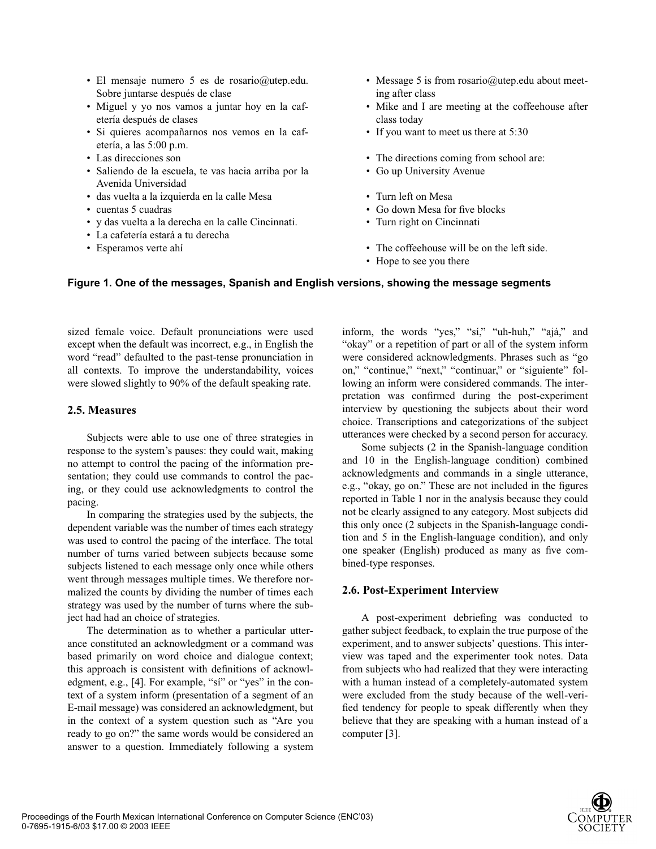- El mensaje numero 5 es de rosario@utep.edu. Sobre juntarse después de clase
- Miguel y yo nos vamos a juntar hoy en la cafetería después de clases
- Si quieres acompañarnos nos vemos en la cafetería, a las 5:00 p.m.
- Las direcciones son
- Saliendo de la escuela, te vas hacia arriba por la Avenida Universidad
- das vuelta a la izquierda en la calle Mesa
- cuentas 5 cuadras
- y das vuelta a la derecha en la calle Cincinnati.
- La cafetería estará a tu derecha
- Esperamos verte ahí
- Message 5 is from rosario@utep.edu about meeting after class
- Mike and I are meeting at the coffeehouse after class today
- If you want to meet us there at 5:30
- The directions coming from school are:
- Go up University Avenue
- Turn left on Mesa
- Go down Mesa for five blocks
- Turn right on Cincinnati
- The coffeehouse will be on the left side.
- Hope to see you there

#### **Figure 1. One of the messages, Spanish and English versions, showing the message segments**

sized female voice. Default pronunciations were used except when the default was incorrect, e.g., in English the word "read" defaulted to the past-tense pronunciation in all contexts. To improve the understandability, voices were slowed slightly to 90% of the default speaking rate.

# **2.5. Measures**

Subjects were able to use one of three strategies in response to the system's pauses: they could wait, making no attempt to control the pacing of the information presentation; they could use commands to control the pacing, or they could use acknowledgments to control the pacing.

In comparing the strategies used by the subjects, the dependent variable was the number of times each strategy was used to control the pacing of the interface. The total number of turns varied between subjects because some subjects listened to each message only once while others went through messages multiple times. We therefore normalized the counts by dividing the number of times each strategy was used by the number of turns where the subject had had an choice of strategies.

The determination as to whether a particular utterance constituted an acknowledgment or a command was based primarily on word choice and dialogue context; this approach is consistent with definitions of acknowledgment, e.g., [4]. For example, "sí" or "yes" in the context of a system inform (presentation of a segment of an E-mail message) was considered an acknowledgment, but in the context of a system question such as "Are you ready to go on?" the same words would be considered an answer to a question. Immediately following a system

inform, the words "yes," "sí," "uh-huh," "ajá," and "okay" or a repetition of part or all of the system inform were considered acknowledgments. Phrases such as "go on," "continue," "next," "continuar," or "siguiente" following an inform were considered commands. The interpretation was confirmed during the post-experiment interview by questioning the subjects about their word choice. Transcriptions and categorizations of the subject utterances were checked by a second person for accuracy.

Some subjects (2 in the Spanish-language condition and 10 in the English-language condition) combined acknowledgments and commands in a single utterance, e.g., "okay, go on." These are not included in the figures reported in Table 1 nor in the analysis because they could not be clearly assigned to any category. Most subjects did this only once (2 subjects in the Spanish-language condition and 5 in the English-language condition), and only one speaker (English) produced as many as five combined-type responses.

# **2.6. Post-Experiment Interview**

A post-experiment debriefing was conducted to gather subject feedback, to explain the true purpose of the experiment, and to answer subjects' questions. This interview was taped and the experimenter took notes. Data from subjects who had realized that they were interacting with a human instead of a completely-automated system were excluded from the study because of the well-verified tendency for people to speak differently when they believe that they are speaking with a human instead of a computer [3].

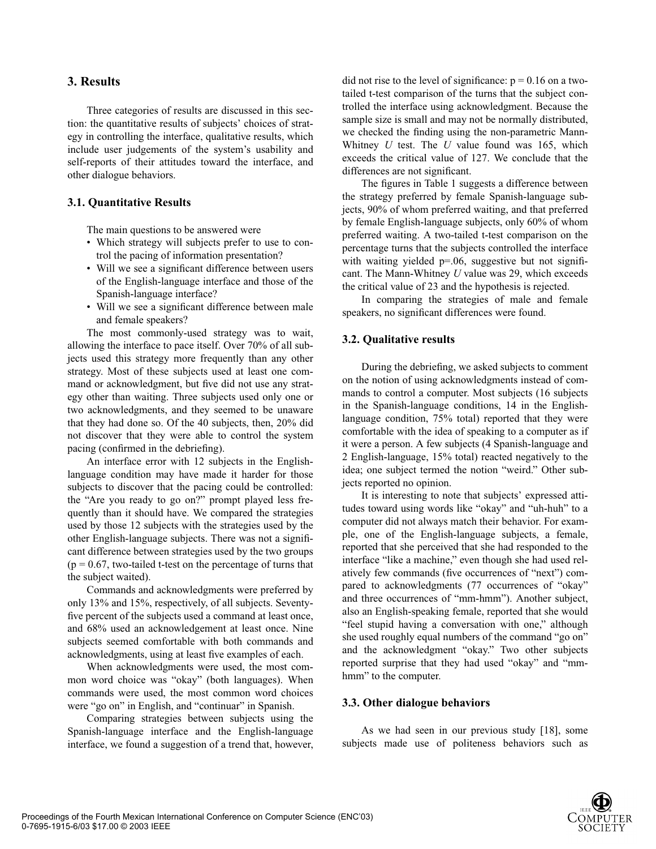# **3. Results**

Three categories of results are discussed in this section: the quantitative results of subjects' choices of strategy in controlling the interface, qualitative results, which include user judgements of the system's usability and self-reports of their attitudes toward the interface, and other dialogue behaviors.

#### **3.1. Quantitative Results**

The main questions to be answered were

- Which strategy will subjects prefer to use to control the pacing of information presentation?
- Will we see a significant difference between users of the English-language interface and those of the Spanish-language interface?
- Will we see a significant difference between male and female speakers?

The most commonly-used strategy was to wait, allowing the interface to pace itself. Over 70% of all subjects used this strategy more frequently than any other strategy. Most of these subjects used at least one command or acknowledgment, but five did not use any strategy other than waiting. Three subjects used only one or two acknowledgments, and they seemed to be unaware that they had done so. Of the 40 subjects, then, 20% did not discover that they were able to control the system pacing (confirmed in the debriefing).

An interface error with 12 subjects in the Englishlanguage condition may have made it harder for those subjects to discover that the pacing could be controlled: the "Are you ready to go on?" prompt played less frequently than it should have. We compared the strategies used by those 12 subjects with the strategies used by the other English-language subjects. There was not a significant difference between strategies used by the two groups  $(p = 0.67,$  two-tailed t-test on the percentage of turns that the subject waited).

Commands and acknowledgments were preferred by only 13% and 15%, respectively, of all subjects. Seventyfive percent of the subjects used a command at least once, and 68% used an acknowledgement at least once. Nine subjects seemed comfortable with both commands and acknowledgments, using at least five examples of each.

When acknowledgments were used, the most common word choice was "okay" (both languages). When commands were used, the most common word choices were "go on" in English, and "continuar" in Spanish.

Comparing strategies between subjects using the Spanish-language interface and the English-language interface, we found a suggestion of a trend that, however,

did not rise to the level of significance:  $p = 0.16$  on a twotailed t-test comparison of the turns that the subject controlled the interface using acknowledgment. Because the sample size is small and may not be normally distributed, we checked the finding using the non-parametric Mann-Whitney *U* test. The *U* value found was 165, which exceeds the critical value of 127. We conclude that the differences are not significant.

The figures in Table 1 suggests a difference between the strategy preferred by female Spanish-language subjects, 90% of whom preferred waiting, and that preferred by female English-language subjects, only 60% of whom preferred waiting. A two-tailed t-test comparison on the percentage turns that the subjects controlled the interface with waiting yielded  $p=0.06$ , suggestive but not significant. The Mann-Whitney *U* value was 29, which exceeds the critical value of 23 and the hypothesis is rejected.

In comparing the strategies of male and female speakers, no significant differences were found.

#### **3.2. Qualitative results**

During the debriefing, we asked subjects to comment on the notion of using acknowledgments instead of commands to control a computer. Most subjects (16 subjects in the Spanish-language conditions, 14 in the Englishlanguage condition, 75% total) reported that they were comfortable with the idea of speaking to a computer as if it were a person. A few subjects (4 Spanish-language and 2 English-language, 15% total) reacted negatively to the idea; one subject termed the notion "weird." Other subjects reported no opinion.

It is interesting to note that subjects' expressed attitudes toward using words like "okay" and "uh-huh" to a computer did not always match their behavior. For example, one of the English-language subjects, a female, reported that she perceived that she had responded to the interface "like a machine," even though she had used relatively few commands (five occurrences of "next") compared to acknowledgments (77 occurrences of "okay" and three occurrences of "mm-hmm"). Another subject, also an English-speaking female, reported that she would "feel stupid having a conversation with one," although she used roughly equal numbers of the command "go on" and the acknowledgment "okay." Two other subjects reported surprise that they had used "okay" and "mmhmm" to the computer.

#### **3.3. Other dialogue behaviors**

As we had seen in our previous study [18], some subjects made use of politeness behaviors such as

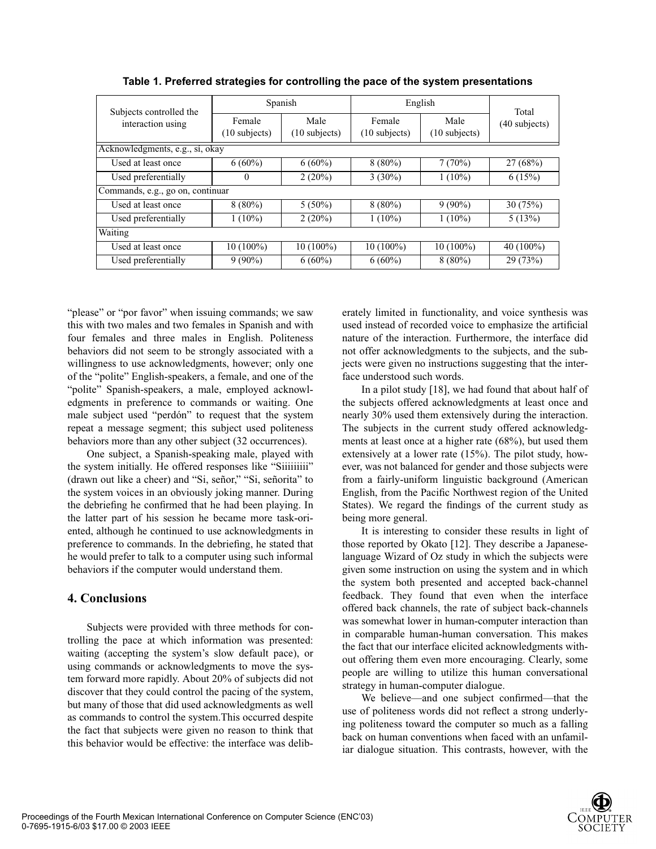| Subjects controlled the<br>interaction using | Spanish                           |                                 | English                 |                                 | Total         |
|----------------------------------------------|-----------------------------------|---------------------------------|-------------------------|---------------------------------|---------------|
|                                              | Female<br>$(10 \text{ subjects})$ | Male<br>$(10 \text{ subjects})$ | Female<br>(10 subjects) | Male<br>$(10 \text{ subjects})$ | (40 subjects) |
| Acknowledgments, e.g., sí, okay              |                                   |                                 |                         |                                 |               |
| Used at least once                           | $6(60\%)$                         | $6(60\%)$                       | $8(80\%)$               | 7(70%)                          | 27(68%)       |
| Used preferentially                          | $\theta$                          | $2(20\%)$                       | $3(30\%)$               | $1(10\%)$                       | 6(15%)        |
| Commands, e.g., go on, continuar             |                                   |                                 |                         |                                 |               |
| Used at least once                           | $8(80\%)$                         | $5(50\%)$                       | $8(80\%)$               | $9(90\%)$                       | 30(75%)       |
| Used preferentially                          | $1(10\%)$                         | $2(20\%)$                       | $1(10\%)$               | $1(10\%)$                       | 5(13%)        |
| Waiting                                      |                                   |                                 |                         |                                 |               |
| Used at least once                           | $10(100\%)$                       | $10(100\%)$                     | $10(100\%)$             | $10(100\%)$                     | $40(100\%)$   |
| Used preferentially                          | $9(90\%)$                         | $6(60\%)$                       | $6(60\%)$               | $8(80\%)$                       | 29(73%)       |

**Table 1. Preferred strategies for controlling the pace of the system presentations**

"please" or "por favor" when issuing commands; we saw this with two males and two females in Spanish and with four females and three males in English. Politeness behaviors did not seem to be strongly associated with a willingness to use acknowledgments, however; only one of the "polite" English-speakers, a female, and one of the "polite" Spanish-speakers, a male, employed acknowledgments in preference to commands or waiting. One male subject used "perdón" to request that the system repeat a message segment; this subject used politeness behaviors more than any other subject (32 occurrences).

One subject, a Spanish-speaking male, played with the system initially. He offered responses like "Siiiiiiiii" (drawn out like a cheer) and "Si, señor," "Si, señorita" to the system voices in an obviously joking manner. During the debriefing he confirmed that he had been playing. In the latter part of his session he became more task-oriented, although he continued to use acknowledgments in preference to commands. In the debriefing, he stated that he would prefer to talk to a computer using such informal behaviors if the computer would understand them.

# **4. Conclusions**

Subjects were provided with three methods for controlling the pace at which information was presented: waiting (accepting the system's slow default pace), or using commands or acknowledgments to move the system forward more rapidly. About 20% of subjects did not discover that they could control the pacing of the system, but many of those that did used acknowledgments as well as commands to control the system.This occurred despite the fact that subjects were given no reason to think that this behavior would be effective: the interface was deliberately limited in functionality, and voice synthesis was used instead of recorded voice to emphasize the artificial nature of the interaction. Furthermore, the interface did not offer acknowledgments to the subjects, and the subjects were given no instructions suggesting that the interface understood such words.

In a pilot study [18], we had found that about half of the subjects offered acknowledgments at least once and nearly 30% used them extensively during the interaction. The subjects in the current study offered acknowledgments at least once at a higher rate (68%), but used them extensively at a lower rate (15%). The pilot study, however, was not balanced for gender and those subjects were from a fairly-uniform linguistic background (American English, from the Pacific Northwest region of the United States). We regard the findings of the current study as being more general.

It is interesting to consider these results in light of those reported by Okato [12]. They describe a Japaneselanguage Wizard of Oz study in which the subjects were given some instruction on using the system and in which the system both presented and accepted back-channel feedback. They found that even when the interface offered back channels, the rate of subject back-channels was somewhat lower in human-computer interaction than in comparable human-human conversation. This makes the fact that our interface elicited acknowledgments without offering them even more encouraging. Clearly, some people are willing to utilize this human conversational strategy in human-computer dialogue.

We believe—and one subject confirmed—that the use of politeness words did not reflect a strong underlying politeness toward the computer so much as a falling back on human conventions when faced with an unfamiliar dialogue situation. This contrasts, however, with the

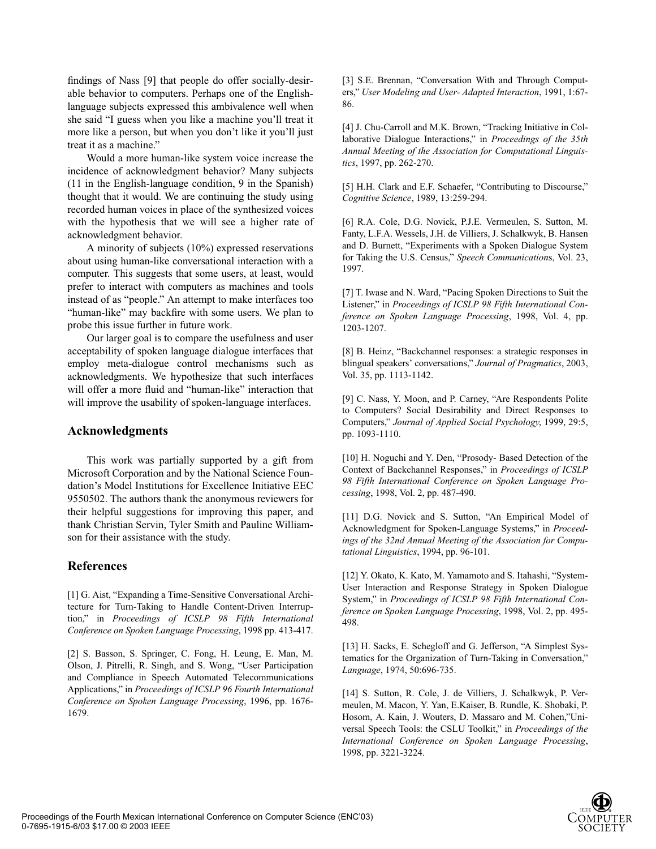findings of Nass [9] that people do offer socially-desirable behavior to computers. Perhaps one of the Englishlanguage subjects expressed this ambivalence well when she said "I guess when you like a machine you'll treat it more like a person, but when you don't like it you'll just treat it as a machine."

Would a more human-like system voice increase the incidence of acknowledgment behavior? Many subjects (11 in the English-language condition, 9 in the Spanish) thought that it would. We are continuing the study using recorded human voices in place of the synthesized voices with the hypothesis that we will see a higher rate of acknowledgment behavior.

A minority of subjects (10%) expressed reservations about using human-like conversational interaction with a computer. This suggests that some users, at least, would prefer to interact with computers as machines and tools instead of as "people." An attempt to make interfaces too "human-like" may backfire with some users. We plan to probe this issue further in future work.

Our larger goal is to compare the usefulness and user acceptability of spoken language dialogue interfaces that employ meta-dialogue control mechanisms such as acknowledgments. We hypothesize that such interfaces will offer a more fluid and "human-like" interaction that will improve the usability of spoken-language interfaces.

#### **Acknowledgments**

This work was partially supported by a gift from Microsoft Corporation and by the National Science Foundation's Model Institutions for Excellence Initiative EEC 9550502. The authors thank the anonymous reviewers for their helpful suggestions for improving this paper, and thank Christian Servin, Tyler Smith and Pauline Williamson for their assistance with the study.

# **References**

[1] G. Aist, "Expanding a Time-Sensitive Conversational Architecture for Turn-Taking to Handle Content-Driven Interruption," in *Proceedings of ICSLP 98 Fifth International Conference on Spoken Language Processing*, 1998 pp. 413-417.

[2] S. Basson, S. Springer, C. Fong, H. Leung, E. Man, M. Olson, J. Pitrelli, R. Singh, and S. Wong, "User Participation and Compliance in Speech Automated Telecommunications Applications," in *Proceedings of ICSLP 96 Fourth International Conference on Spoken Language Processing*, 1996, pp. 1676- 1679.

[3] S.E. Brennan, "Conversation With and Through Computers," *User Modeling and User- Adapted Interaction*, 1991, 1:67- 86.

[4] J. Chu-Carroll and M.K. Brown, "Tracking Initiative in Collaborative Dialogue Interactions," in *Proceedings of the 35th Annual Meeting of the Association for Computational Linguistics*, 1997, pp. 262-270.

[5] H.H. Clark and E.F. Schaefer, "Contributing to Discourse," *Cognitive Science*, 1989, 13:259-294.

[6] R.A. Cole, D.G. Novick, P.J.E. Vermeulen, S. Sutton, M. Fanty, L.F.A. Wessels, J.H. de Villiers, J. Schalkwyk, B. Hansen and D. Burnett, "Experiments with a Spoken Dialogue System for Taking the U.S. Census," *Speech Communication*s, Vol. 23, 1997.

[7] T. Iwase and N. Ward, "Pacing Spoken Directions to Suit the Listener," in *Proceedings of ICSLP 98 Fifth International Conference on Spoken Language Processing*, 1998, Vol. 4, pp. 1203-1207.

[8] B. Heinz, "Backchannel responses: a strategic responses in blingual speakers' conversations," *Journal of Pragmatics*, 2003, Vol. 35, pp. 1113-1142.

[9] C. Nass, Y. Moon, and P. Carney, "Are Respondents Polite to Computers? Social Desirability and Direct Responses to Computers," *Journal of Applied Social Psychology*, 1999, 29:5, pp. 1093-1110.

[10] H. Noguchi and Y. Den, "Prosody- Based Detection of the Context of Backchannel Responses," in *Proceedings of ICSLP 98 Fifth International Conference on Spoken Language Processing*, 1998, Vol. 2, pp. 487-490.

[11] D.G. Novick and S. Sutton, "An Empirical Model of Acknowledgment for Spoken-Language Systems," in *Proceedings of the 32nd Annual Meeting of the Association for Computational Linguistics*, 1994, pp. 96-101.

[12] Y. Okato, K. Kato, M. Yamamoto and S. Itahashi, "System-User Interaction and Response Strategy in Spoken Dialogue System," in *Proceedings of ICSLP 98 Fifth International Conference on Spoken Language Processing*, 1998, Vol. 2, pp. 495- 498.

[13] H. Sacks, E. Schegloff and G. Jefferson, "A Simplest Systematics for the Organization of Turn-Taking in Conversation," *Language*, 1974, 50:696-735.

[14] S. Sutton, R. Cole, J. de Villiers, J. Schalkwyk, P. Vermeulen, M. Macon, Y. Yan, E.Kaiser, B. Rundle, K. Shobaki, P. Hosom, A. Kain, J. Wouters, D. Massaro and M. Cohen,"Universal Speech Tools: the CSLU Toolkit," in *Proceedings of the International Conference on Spoken Language Processing*, 1998, pp. 3221-3224.